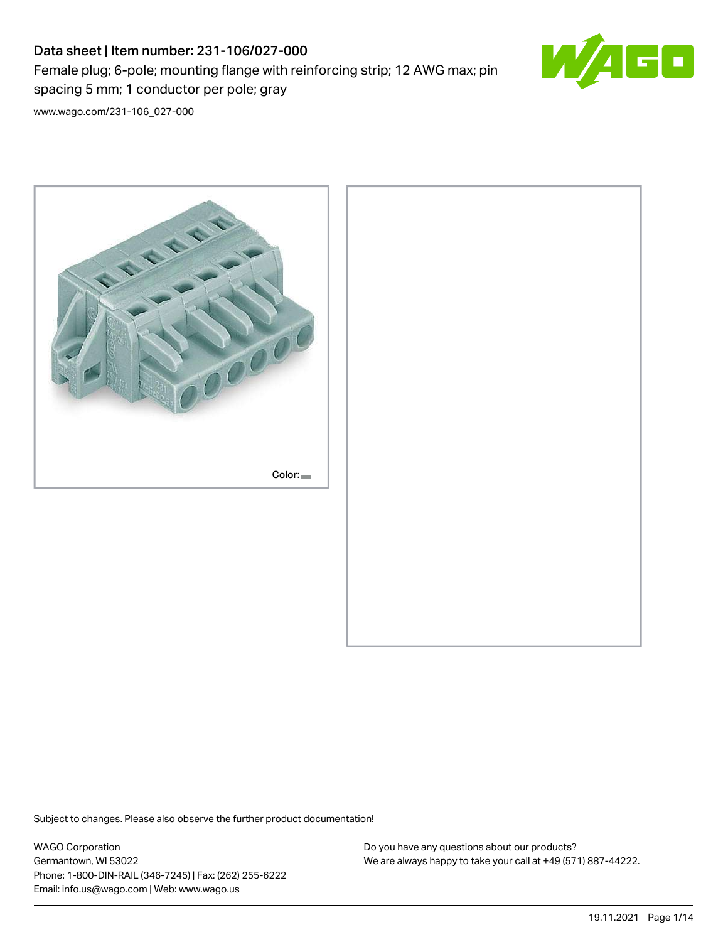# Data sheet | Item number: 231-106/027-000

Female plug; 6-pole; mounting flange with reinforcing strip; 12 AWG max; pin spacing 5 mm; 1 conductor per pole; gray



[www.wago.com/231-106\\_027-000](http://www.wago.com/231-106_027-000)



Subject to changes. Please also observe the further product documentation!

WAGO Corporation Germantown, WI 53022 Phone: 1-800-DIN-RAIL (346-7245) | Fax: (262) 255-6222 Email: info.us@wago.com | Web: www.wago.us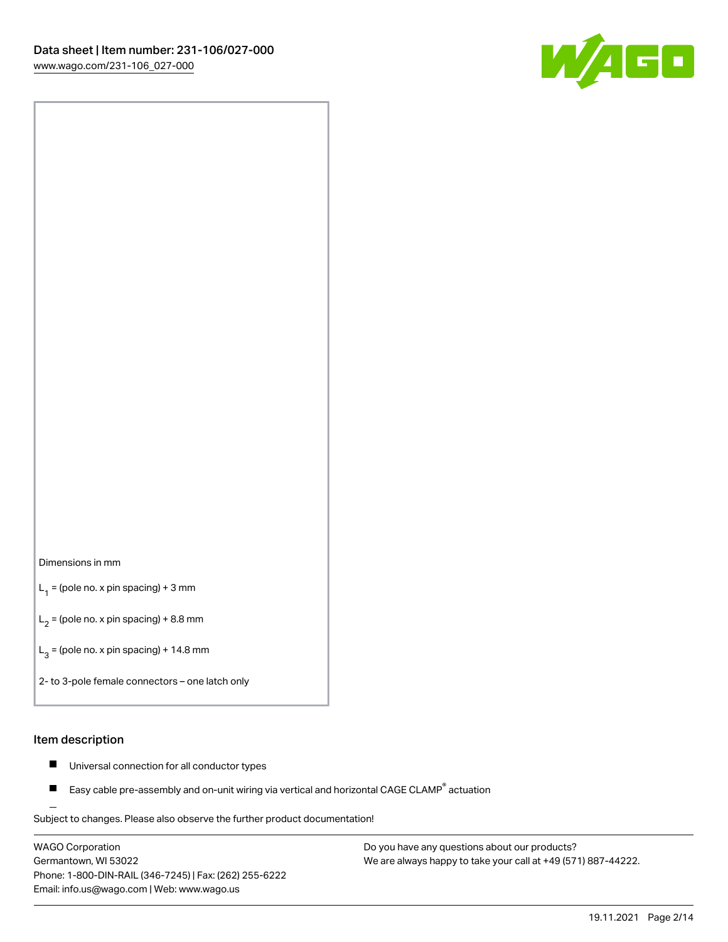

### Dimensions in mm

 $L_1$  = (pole no. x pin spacing) + 3 mm

 $L_2$  = (pole no. x pin spacing) + 8.8 mm

 $L_3$  = (pole no. x pin spacing) + 14.8 mm

2- to 3-pole female connectors – one latch only

### Item description

- Universal connection for all conductor types  $\blacksquare$
- Easy cable pre-assembly and on-unit wiring via vertical and horizontal CAGE CLAMP<sup>®</sup> actuation П

.<br>Subject to changes. Please also observe the further product documentation!

WAGO Corporation Germantown, WI 53022 Phone: 1-800-DIN-RAIL (346-7245) | Fax: (262) 255-6222 Email: info.us@wago.com | Web: www.wago.us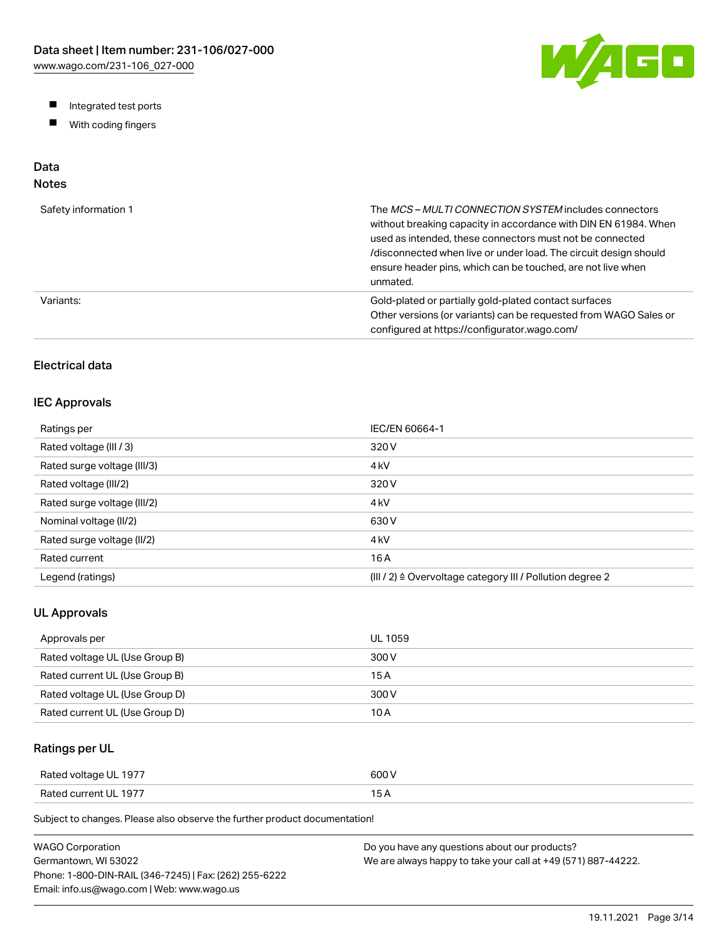W/AGO

- Integrated test ports
- $\blacksquare$ With coding fingers

# Data

# Notes

| Safety information 1 | The MCS-MULTI CONNECTION SYSTEM includes connectors<br>without breaking capacity in accordance with DIN EN 61984. When<br>used as intended, these connectors must not be connected<br>/disconnected when live or under load. The circuit design should<br>ensure header pins, which can be touched, are not live when<br>unmated. |
|----------------------|-----------------------------------------------------------------------------------------------------------------------------------------------------------------------------------------------------------------------------------------------------------------------------------------------------------------------------------|
| Variants:            | Gold-plated or partially gold-plated contact surfaces<br>Other versions (or variants) can be requested from WAGO Sales or<br>configured at https://configurator.wago.com/                                                                                                                                                         |

# Electrical data

### IEC Approvals

| Ratings per                 | IEC/EN 60664-1                                                        |
|-----------------------------|-----------------------------------------------------------------------|
| Rated voltage (III / 3)     | 320 V                                                                 |
| Rated surge voltage (III/3) | 4 <sub>kV</sub>                                                       |
| Rated voltage (III/2)       | 320 V                                                                 |
| Rated surge voltage (III/2) | 4 <sub>k</sub> V                                                      |
| Nominal voltage (II/2)      | 630 V                                                                 |
| Rated surge voltage (II/2)  | 4 <sub>k</sub> V                                                      |
| Rated current               | 16 A                                                                  |
| Legend (ratings)            | $(III / 2)$ $\triangle$ Overvoltage category III / Pollution degree 2 |

### UL Approvals

| Approvals per                  | <b>UL 1059</b> |
|--------------------------------|----------------|
| Rated voltage UL (Use Group B) | 300 V          |
| Rated current UL (Use Group B) | 15 A           |
| Rated voltage UL (Use Group D) | 300 V          |
| Rated current UL (Use Group D) | 10 A           |

## Ratings per UL

| Rated voltage UL 1977 | 600 V  |
|-----------------------|--------|
| Rated current UL 1977 | $\sim$ |

Subject to changes. Please also observe the further product documentation!

| WAGO Corporation                                       | Do you have any questions about our products?                 |
|--------------------------------------------------------|---------------------------------------------------------------|
| Germantown. WI 53022                                   | We are always happy to take your call at +49 (571) 887-44222. |
| Phone: 1-800-DIN-RAIL (346-7245)   Fax: (262) 255-6222 |                                                               |
| Email: info.us@wago.com   Web: www.wago.us             |                                                               |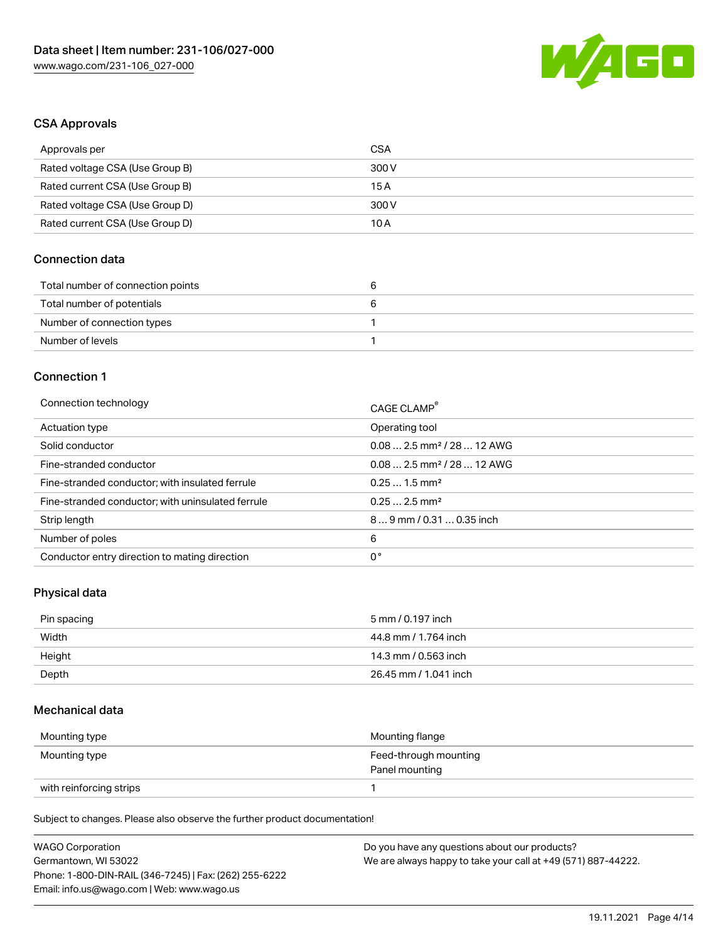

### CSA Approvals

| Approvals per                   | CSA   |
|---------------------------------|-------|
| Rated voltage CSA (Use Group B) | 300 V |
| Rated current CSA (Use Group B) | 15 A  |
| Rated voltage CSA (Use Group D) | 300 V |
| Rated current CSA (Use Group D) | 10 A  |

### Connection data

| Total number of connection points |  |
|-----------------------------------|--|
| Total number of potentials        |  |
| Number of connection types        |  |
| Number of levels                  |  |

### Connection 1

| Connection technology                             | CAGE CLAMP®                            |
|---------------------------------------------------|----------------------------------------|
| Actuation type                                    | Operating tool                         |
| Solid conductor                                   | $0.082.5$ mm <sup>2</sup> / 28  12 AWG |
| Fine-stranded conductor                           | $0.082.5$ mm <sup>2</sup> / 28  12 AWG |
| Fine-stranded conductor; with insulated ferrule   | $0.251.5$ mm <sup>2</sup>              |
| Fine-stranded conductor; with uninsulated ferrule | $0.252.5$ mm <sup>2</sup>              |
| Strip length                                      | 89 mm / 0.31  0.35 inch                |
| Number of poles                                   | 6                                      |
| Conductor entry direction to mating direction     | 0°                                     |

### Physical data

| Pin spacing | 5 mm / 0.197 inch     |
|-------------|-----------------------|
| Width       | 44.8 mm / 1.764 inch  |
| Height      | 14.3 mm / 0.563 inch  |
| Depth       | 26.45 mm / 1.041 inch |

### Mechanical data

| Mounting type           | Mounting flange                         |
|-------------------------|-----------------------------------------|
| Mounting type           | Feed-through mounting<br>Panel mounting |
| with reinforcing strips |                                         |

Subject to changes. Please also observe the further product documentation!

| <b>WAGO Corporation</b>                                | Do you have any questions about our products?                 |
|--------------------------------------------------------|---------------------------------------------------------------|
| Germantown, WI 53022                                   | We are always happy to take your call at +49 (571) 887-44222. |
| Phone: 1-800-DIN-RAIL (346-7245)   Fax: (262) 255-6222 |                                                               |
| Email: info.us@wago.com   Web: www.wago.us             |                                                               |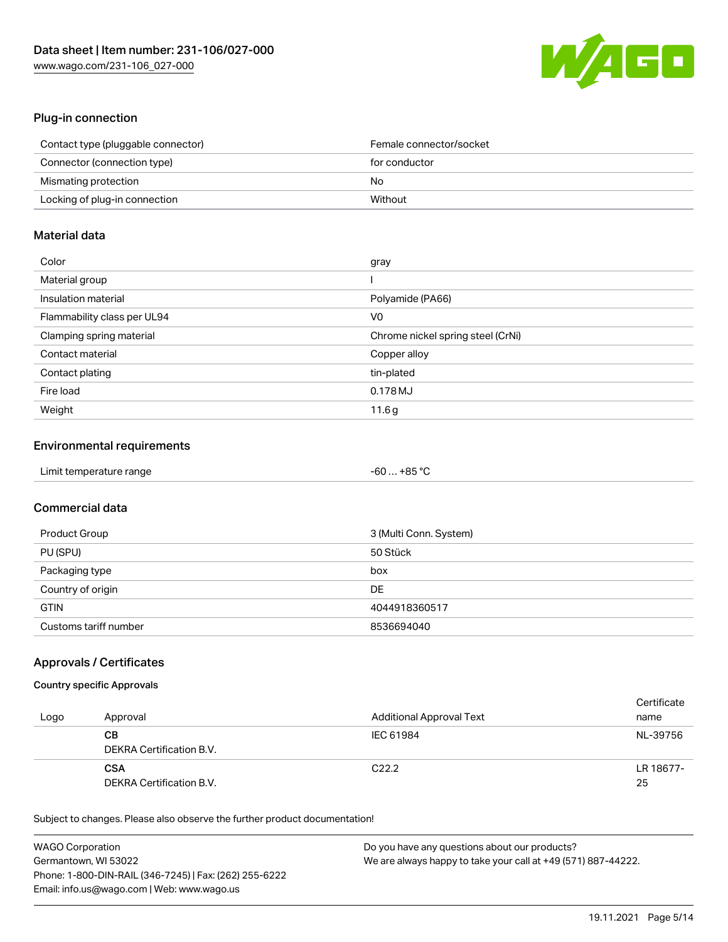

# Plug-in connection

| Contact type (pluggable connector) | Female connector/socket |
|------------------------------------|-------------------------|
| Connector (connection type)        | for conductor           |
| Mismating protection               | No                      |
| Locking of plug-in connection      | Without                 |

## Material data

| Color                       | gray                              |
|-----------------------------|-----------------------------------|
| Material group              |                                   |
| Insulation material         | Polyamide (PA66)                  |
| Flammability class per UL94 | V <sub>0</sub>                    |
| Clamping spring material    | Chrome nickel spring steel (CrNi) |
| Contact material            | Copper alloy                      |
| Contact plating             | tin-plated                        |
| Fire load                   | 0.178MJ                           |
| Weight                      | 11.6g                             |

## Environmental requirements

| Limit temperature range | -60  +85 °C |
|-------------------------|-------------|
|-------------------------|-------------|

## Commercial data

| Product Group         | 3 (Multi Conn. System) |
|-----------------------|------------------------|
| PU (SPU)              | 50 Stück               |
| Packaging type        | box                    |
| Country of origin     | DE                     |
| <b>GTIN</b>           | 4044918360517          |
| Customs tariff number | 8536694040             |

## Approvals / Certificates

### Country specific Approvals

| Logo | Approval                               | Additional Approval Text | Certificate<br>name |
|------|----------------------------------------|--------------------------|---------------------|
|      | CВ<br>DEKRA Certification B.V.         | IEC 61984                | NL-39756            |
|      | <b>CSA</b><br>DEKRA Certification B.V. | C <sub>22.2</sub>        | LR 18677-<br>25     |

Subject to changes. Please also observe the further product documentation!

| <b>WAGO Corporation</b>                                | Do you have any questions about our products?                 |
|--------------------------------------------------------|---------------------------------------------------------------|
| Germantown, WI 53022                                   | We are always happy to take your call at +49 (571) 887-44222. |
| Phone: 1-800-DIN-RAIL (346-7245)   Fax: (262) 255-6222 |                                                               |
| Email: info.us@wago.com   Web: www.wago.us             |                                                               |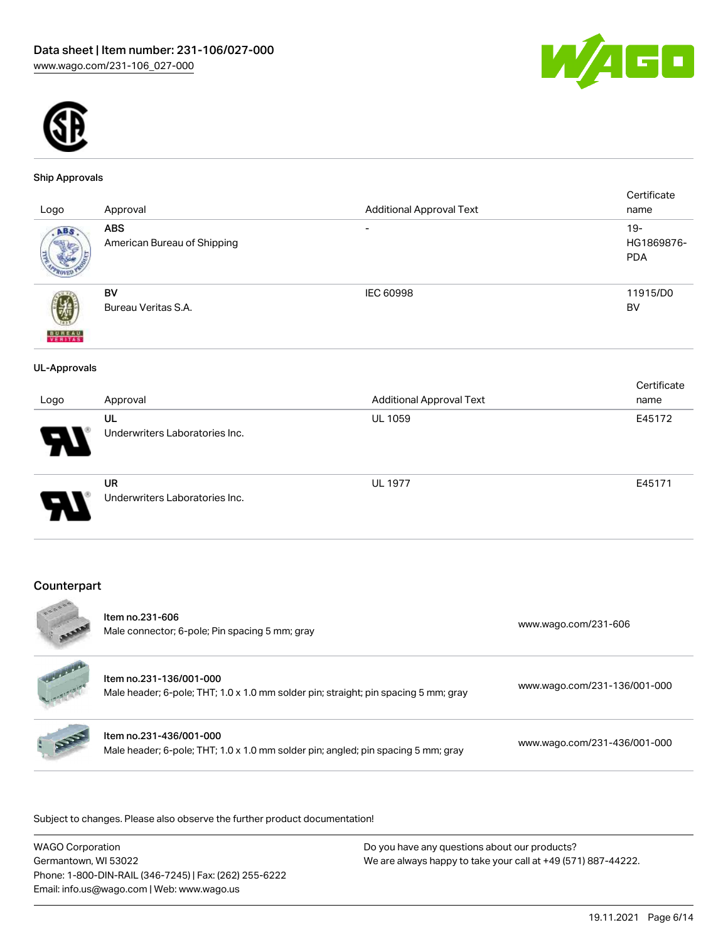



#### Ship Approvals

|                     |                                |                                 | Certificate |
|---------------------|--------------------------------|---------------------------------|-------------|
| Logo                | Approval                       | <b>Additional Approval Text</b> | name        |
| ABS                 | <b>ABS</b>                     | $\qquad \qquad$                 | $19 -$      |
|                     | American Bureau of Shipping    |                                 | HG1869876-  |
|                     |                                |                                 | <b>PDA</b>  |
|                     |                                |                                 |             |
|                     |                                |                                 |             |
|                     | BV                             | IEC 60998                       | 11915/D0    |
|                     | Bureau Veritas S.A.            |                                 | <b>BV</b>   |
|                     |                                |                                 |             |
| <b>BUREAU</b>       |                                |                                 |             |
|                     |                                |                                 |             |
| <b>UL-Approvals</b> |                                |                                 |             |
|                     |                                |                                 | Certificate |
| Logo                | Approval                       | <b>Additional Approval Text</b> | name        |
|                     | UL                             | <b>UL 1059</b>                  | E45172      |
|                     | Underwriters Laboratories Inc. |                                 |             |
|                     |                                |                                 |             |
|                     |                                |                                 |             |
|                     | UR                             | <b>UL 1977</b>                  | E45171      |
|                     |                                |                                 |             |
|                     | Underwriters Laboratories Inc. |                                 |             |
|                     |                                |                                 |             |
|                     |                                |                                 |             |
|                     |                                |                                 |             |

## Counterpart

| <b>ODORS</b> | Item no.231-606<br>Male connector; 6-pole; Pin spacing 5 mm; gray                                              | www.wago.com/231-606         |
|--------------|----------------------------------------------------------------------------------------------------------------|------------------------------|
|              | Item no.231-136/001-000<br>Male header; 6-pole; THT; 1.0 x 1.0 mm solder pin; straight; pin spacing 5 mm; gray | www.wago.com/231-136/001-000 |
|              | Item no.231-436/001-000<br>Male header; 6-pole; THT; 1.0 x 1.0 mm solder pin; angled; pin spacing 5 mm; gray   | www.wago.com/231-436/001-000 |
|              |                                                                                                                |                              |

.<br>Subject to changes. Please also observe the further product documentation!

| WAGO Corporation                                       | Do you have any questions about our products?                 |
|--------------------------------------------------------|---------------------------------------------------------------|
| Germantown, WI 53022                                   | We are always happy to take your call at +49 (571) 887-44222. |
| Phone: 1-800-DIN-RAIL (346-7245)   Fax: (262) 255-6222 |                                                               |
| Email: info.us@wago.com   Web: www.wago.us             |                                                               |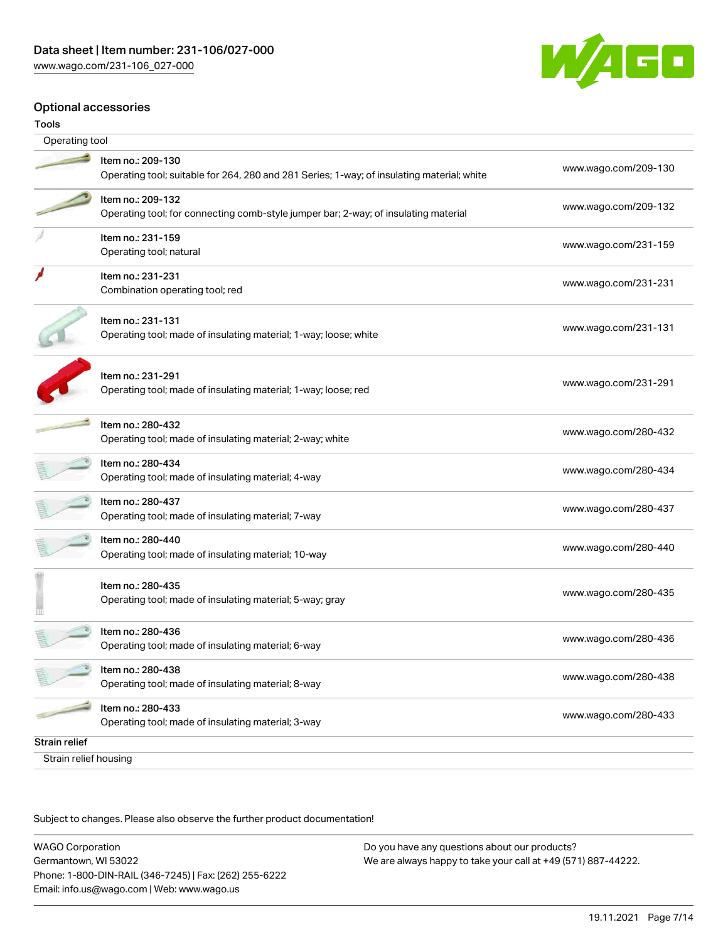

### Optional accessories

| Tools                 |                                                                                                                 |                      |
|-----------------------|-----------------------------------------------------------------------------------------------------------------|----------------------|
| Operating tool        |                                                                                                                 |                      |
|                       | Item no.: 209-130<br>Operating tool; suitable for 264, 280 and 281 Series; 1-way; of insulating material; white | www.wago.com/209-130 |
|                       | Item no.: 209-132<br>Operating tool; for connecting comb-style jumper bar; 2-way; of insulating material        | www.wago.com/209-132 |
|                       | Item no.: 231-159<br>Operating tool; natural                                                                    | www.wago.com/231-159 |
|                       | Item no.: 231-231<br>Combination operating tool; red                                                            | www.wago.com/231-231 |
|                       | Item no.: 231-131<br>Operating tool; made of insulating material; 1-way; loose; white                           | www.wago.com/231-131 |
|                       | Item no.: 231-291<br>Operating tool; made of insulating material; 1-way; loose; red                             | www.wago.com/231-291 |
|                       | Item no.: 280-432<br>Operating tool; made of insulating material; 2-way; white                                  | www.wago.com/280-432 |
|                       | Item no.: 280-434<br>Operating tool; made of insulating material; 4-way                                         | www.wago.com/280-434 |
|                       | Item no.: 280-437<br>Operating tool; made of insulating material; 7-way                                         | www.wago.com/280-437 |
|                       | Item no.: 280-440<br>Operating tool; made of insulating material; 10-way                                        | www.wago.com/280-440 |
|                       | Item no.: 280-435<br>Operating tool; made of insulating material; 5-way; gray                                   | www.wago.com/280-435 |
|                       | Item no.: 280-436<br>Operating tool; made of insulating material; 6-way                                         | www.wago.com/280-436 |
|                       | Item no.: 280-438<br>Operating tool; made of insulating material; 8-way                                         | www.wago.com/280-438 |
|                       | Item no.: 280-433<br>Operating tool; made of insulating material; 3-way                                         | www.wago.com/280-433 |
| <b>Strain relief</b>  |                                                                                                                 |                      |
| Strain relief housing |                                                                                                                 |                      |

Subject to changes. Please also observe the further product documentation!

WAGO Corporation Germantown, WI 53022 Phone: 1-800-DIN-RAIL (346-7245) | Fax: (262) 255-6222 Email: info.us@wago.com | Web: www.wago.us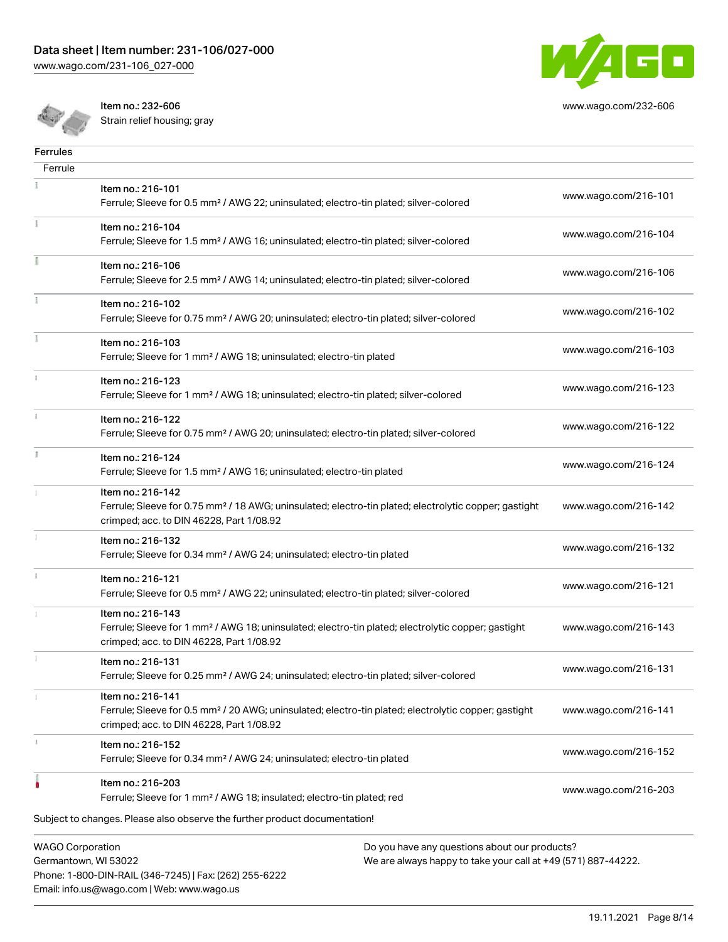[www.wago.com/231-106\\_027-000](http://www.wago.com/231-106_027-000)



[www.wago.com/232-606](http://www.wago.com/232-606)

Item no.: 232-606

| <b>Ferrules</b>                                |                                                                                                                                                                                    |                                                                                                               |                      |
|------------------------------------------------|------------------------------------------------------------------------------------------------------------------------------------------------------------------------------------|---------------------------------------------------------------------------------------------------------------|----------------------|
| Ferrule                                        |                                                                                                                                                                                    |                                                                                                               |                      |
|                                                | Item no.: 216-101<br>Ferrule; Sleeve for 0.5 mm <sup>2</sup> / AWG 22; uninsulated; electro-tin plated; silver-colored                                                             |                                                                                                               | www.wago.com/216-101 |
|                                                | Item no.: 216-104<br>Ferrule; Sleeve for 1.5 mm <sup>2</sup> / AWG 16; uninsulated; electro-tin plated; silver-colored                                                             |                                                                                                               | www.wago.com/216-104 |
|                                                | Item no.: 216-106<br>Ferrule; Sleeve for 2.5 mm <sup>2</sup> / AWG 14; uninsulated; electro-tin plated; silver-colored                                                             |                                                                                                               | www.wago.com/216-106 |
|                                                | Item no.: 216-102<br>Ferrule; Sleeve for 0.75 mm <sup>2</sup> / AWG 20; uninsulated; electro-tin plated; silver-colored                                                            |                                                                                                               | www.wago.com/216-102 |
| Ť.                                             | Item no.: 216-103<br>Ferrule; Sleeve for 1 mm <sup>2</sup> / AWG 18; uninsulated; electro-tin plated                                                                               |                                                                                                               | www.wago.com/216-103 |
|                                                | Item no.: 216-123<br>Ferrule; Sleeve for 1 mm <sup>2</sup> / AWG 18; uninsulated; electro-tin plated; silver-colored                                                               |                                                                                                               | www.wago.com/216-123 |
|                                                | Item no.: 216-122<br>Ferrule; Sleeve for 0.75 mm <sup>2</sup> / AWG 20; uninsulated; electro-tin plated; silver-colored                                                            |                                                                                                               | www.wago.com/216-122 |
| I.                                             | Item no.: 216-124<br>Ferrule; Sleeve for 1.5 mm <sup>2</sup> / AWG 16; uninsulated; electro-tin plated                                                                             |                                                                                                               | www.wago.com/216-124 |
|                                                | Item no.: 216-142<br>Ferrule; Sleeve for 0.75 mm <sup>2</sup> / 18 AWG; uninsulated; electro-tin plated; electrolytic copper; gastight<br>crimped; acc. to DIN 46228, Part 1/08.92 |                                                                                                               | www.wago.com/216-142 |
|                                                | Item no.: 216-132<br>Ferrule; Sleeve for 0.34 mm <sup>2</sup> / AWG 24; uninsulated; electro-tin plated                                                                            |                                                                                                               | www.wago.com/216-132 |
|                                                | Item no.: 216-121<br>Ferrule; Sleeve for 0.5 mm <sup>2</sup> / AWG 22; uninsulated; electro-tin plated; silver-colored                                                             |                                                                                                               | www.wago.com/216-121 |
|                                                | Item no.: 216-143<br>Ferrule; Sleeve for 1 mm <sup>2</sup> / AWG 18; uninsulated; electro-tin plated; electrolytic copper; gastight<br>crimped; acc. to DIN 46228, Part 1/08.92    |                                                                                                               | www.wago.com/216-143 |
|                                                | Item no.: 216-131<br>Ferrule; Sleeve for 0.25 mm <sup>2</sup> / AWG 24; uninsulated; electro-tin plated; silver-colored                                                            |                                                                                                               | www.wago.com/216-131 |
|                                                | Item no.: 216-141<br>Ferrule; Sleeve for 0.5 mm <sup>2</sup> / 20 AWG; uninsulated; electro-tin plated; electrolytic copper; gastight<br>crimped; acc. to DIN 46228, Part 1/08.92  |                                                                                                               | www.wago.com/216-141 |
|                                                | Item no.: 216-152<br>Ferrule; Sleeve for 0.34 mm <sup>2</sup> / AWG 24; uninsulated; electro-tin plated                                                                            |                                                                                                               | www.wago.com/216-152 |
|                                                | Item no.: 216-203<br>Ferrule; Sleeve for 1 mm <sup>2</sup> / AWG 18; insulated; electro-tin plated; red                                                                            |                                                                                                               | www.wago.com/216-203 |
|                                                | Subject to changes. Please also observe the further product documentation!                                                                                                         |                                                                                                               |                      |
| <b>WAGO Corporation</b><br>Cormantown MI 52022 |                                                                                                                                                                                    | Do you have any questions about our products?<br>Mo are always happy to take your call at +40 (571) 887-44222 |                      |

Germantown, WI 53022 Phone: 1-800-DIN-RAIL (346-7245) | Fax: (262) 255-6222 Email: info.us@wago.com | Web: www.wago.us

We are always happy to take your call at +49 (571) 887-44222.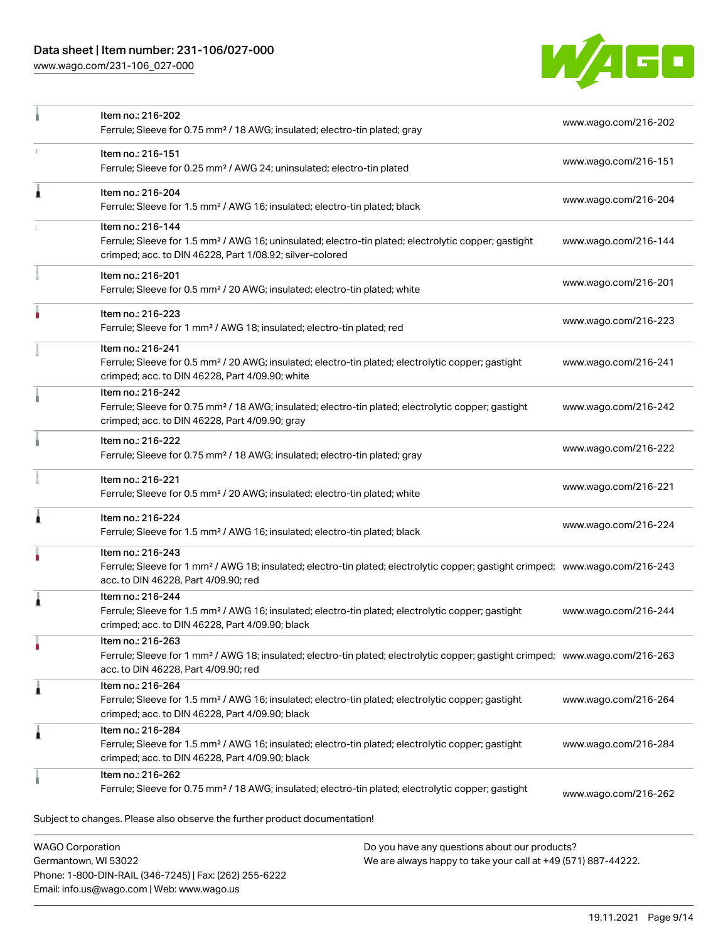# Data sheet | Item number: 231-106/027-000

[www.wago.com/231-106\\_027-000](http://www.wago.com/231-106_027-000)

Email: info.us@wago.com | Web: www.wago.us



|                                                 | Item no.: 216-202<br>Ferrule; Sleeve for 0.75 mm <sup>2</sup> / 18 AWG; insulated; electro-tin plated; gray                                                                                             |                                                                                                                | www.wago.com/216-202 |
|-------------------------------------------------|---------------------------------------------------------------------------------------------------------------------------------------------------------------------------------------------------------|----------------------------------------------------------------------------------------------------------------|----------------------|
|                                                 | Item no.: 216-151<br>Ferrule; Sleeve for 0.25 mm <sup>2</sup> / AWG 24; uninsulated; electro-tin plated                                                                                                 |                                                                                                                | www.wago.com/216-151 |
| ۸                                               | Item no.: 216-204<br>Ferrule; Sleeve for 1.5 mm <sup>2</sup> / AWG 16; insulated; electro-tin plated; black                                                                                             |                                                                                                                | www.wago.com/216-204 |
|                                                 | Item no.: 216-144<br>Ferrule; Sleeve for 1.5 mm <sup>2</sup> / AWG 16; uninsulated; electro-tin plated; electrolytic copper; gastight<br>crimped; acc. to DIN 46228, Part 1/08.92; silver-colored       |                                                                                                                | www.wago.com/216-144 |
|                                                 | Item no.: 216-201<br>Ferrule; Sleeve for 0.5 mm <sup>2</sup> / 20 AWG; insulated; electro-tin plated; white                                                                                             |                                                                                                                | www.wago.com/216-201 |
|                                                 | Item no.: 216-223<br>Ferrule; Sleeve for 1 mm <sup>2</sup> / AWG 18; insulated; electro-tin plated; red                                                                                                 |                                                                                                                | www.wago.com/216-223 |
|                                                 | Item no.: 216-241<br>Ferrule; Sleeve for 0.5 mm <sup>2</sup> / 20 AWG; insulated; electro-tin plated; electrolytic copper; gastight<br>crimped; acc. to DIN 46228, Part 4/09.90; white                  |                                                                                                                | www.wago.com/216-241 |
|                                                 | Item no.: 216-242<br>Ferrule; Sleeve for 0.75 mm <sup>2</sup> / 18 AWG; insulated; electro-tin plated; electrolytic copper; gastight<br>crimped; acc. to DIN 46228, Part 4/09.90; gray                  |                                                                                                                | www.wago.com/216-242 |
|                                                 | Item no.: 216-222<br>Ferrule; Sleeve for 0.75 mm <sup>2</sup> / 18 AWG; insulated; electro-tin plated; gray                                                                                             |                                                                                                                | www.wago.com/216-222 |
|                                                 | Item no.: 216-221<br>Ferrule; Sleeve for 0.5 mm <sup>2</sup> / 20 AWG; insulated; electro-tin plated; white                                                                                             |                                                                                                                | www.wago.com/216-221 |
|                                                 | Item no.: 216-224<br>Ferrule; Sleeve for 1.5 mm <sup>2</sup> / AWG 16; insulated; electro-tin plated; black                                                                                             |                                                                                                                | www.wago.com/216-224 |
|                                                 | Item no.: 216-243<br>Ferrule; Sleeve for 1 mm <sup>2</sup> / AWG 18; insulated; electro-tin plated; electrolytic copper; gastight crimped; www.wago.com/216-243<br>acc. to DIN 46228, Part 4/09.90; red |                                                                                                                |                      |
|                                                 | Item no.: 216-244<br>Ferrule; Sleeve for 1.5 mm <sup>2</sup> / AWG 16; insulated; electro-tin plated; electrolytic copper; gastight<br>crimped; acc. to DIN 46228, Part 4/09.90; black                  |                                                                                                                | www.wago.com/216-244 |
| ٠                                               | Item no.: 216-263<br>Ferrule; Sleeve for 1 mm <sup>2</sup> / AWG 18; insulated; electro-tin plated; electrolytic copper; gastight crimped; www.wago.com/216-263<br>acc. to DIN 46228, Part 4/09.90; red |                                                                                                                |                      |
| 1                                               | Item no.: 216-264<br>Ferrule; Sleeve for 1.5 mm <sup>2</sup> / AWG 16; insulated; electro-tin plated; electrolytic copper; gastight<br>crimped; acc. to DIN 46228, Part 4/09.90; black                  |                                                                                                                | www.wago.com/216-264 |
| ۸                                               | Item no.: 216-284<br>Ferrule; Sleeve for 1.5 mm <sup>2</sup> / AWG 16; insulated; electro-tin plated; electrolytic copper; gastight<br>crimped; acc. to DIN 46228, Part 4/09.90; black                  |                                                                                                                | www.wago.com/216-284 |
|                                                 | Item no.: 216-262<br>Ferrule; Sleeve for 0.75 mm <sup>2</sup> / 18 AWG; insulated; electro-tin plated; electrolytic copper; gastight                                                                    |                                                                                                                | www.wago.com/216-262 |
|                                                 | Subject to changes. Please also observe the further product documentation!                                                                                                                              |                                                                                                                |                      |
| <b>WAGO Corporation</b><br>Germantown, WI 53022 | Phone: 1-800-DIN-RAIL (346-7245)   Fax: (262) 255-6222                                                                                                                                                  | Do you have any questions about our products?<br>We are always happy to take your call at +49 (571) 887-44222. |                      |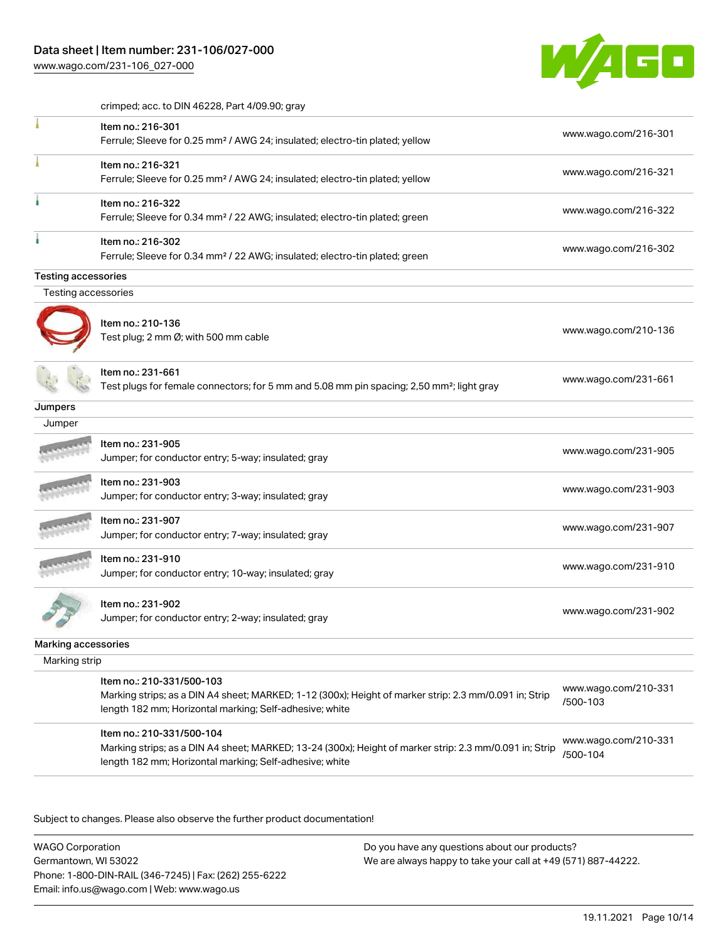[www.wago.com/231-106\\_027-000](http://www.wago.com/231-106_027-000)



crimped; acc. to DIN 46228, Part 4/09.90; gray

|                            | Item no.: 216-301<br>Ferrule; Sleeve for 0.25 mm <sup>2</sup> / AWG 24; insulated; electro-tin plated; yellow                                                                                   | www.wago.com/216-301             |
|----------------------------|-------------------------------------------------------------------------------------------------------------------------------------------------------------------------------------------------|----------------------------------|
|                            | Item no.: 216-321<br>Ferrule; Sleeve for 0.25 mm <sup>2</sup> / AWG 24; insulated; electro-tin plated; yellow                                                                                   | www.wago.com/216-321             |
|                            | Item no.: 216-322<br>Ferrule; Sleeve for 0.34 mm <sup>2</sup> / 22 AWG; insulated; electro-tin plated; green                                                                                    | www.wago.com/216-322             |
|                            | Item no.: 216-302<br>Ferrule; Sleeve for 0.34 mm <sup>2</sup> / 22 AWG; insulated; electro-tin plated; green                                                                                    | www.wago.com/216-302             |
| <b>Testing accessories</b> |                                                                                                                                                                                                 |                                  |
| Testing accessories        |                                                                                                                                                                                                 |                                  |
|                            | Item no.: 210-136<br>Test plug; 2 mm Ø; with 500 mm cable                                                                                                                                       | www.wago.com/210-136             |
|                            | Item no.: 231-661<br>Test plugs for female connectors; for 5 mm and 5.08 mm pin spacing; 2,50 mm <sup>2</sup> ; light gray                                                                      | www.wago.com/231-661             |
| Jumpers                    |                                                                                                                                                                                                 |                                  |
| Jumper                     |                                                                                                                                                                                                 |                                  |
|                            | Item no.: 231-905<br>Jumper; for conductor entry; 5-way; insulated; gray                                                                                                                        | www.wago.com/231-905             |
|                            | Item no.: 231-903<br>Jumper; for conductor entry; 3-way; insulated; gray                                                                                                                        | www.wago.com/231-903             |
|                            | Item no.: 231-907<br>Jumper; for conductor entry; 7-way; insulated; gray                                                                                                                        | www.wago.com/231-907             |
|                            | Item no.: 231-910<br>Jumper; for conductor entry; 10-way; insulated; gray                                                                                                                       | www.wago.com/231-910             |
|                            | Item no.: 231-902<br>Jumper; for conductor entry; 2-way; insulated; gray                                                                                                                        | www.wago.com/231-902             |
| Marking accessories        |                                                                                                                                                                                                 |                                  |
| Marking strip              |                                                                                                                                                                                                 |                                  |
|                            | Item no.: 210-331/500-103                                                                                                                                                                       |                                  |
|                            | Marking strips; as a DIN A4 sheet; MARKED; 1-12 (300x); Height of marker strip: 2.3 mm/0.091 in; Strip<br>length 182 mm; Horizontal marking; Self-adhesive; white                               | www.wago.com/210-331<br>/500-103 |
|                            | Item no.: 210-331/500-104<br>Marking strips; as a DIN A4 sheet; MARKED; 13-24 (300x); Height of marker strip: 2.3 mm/0.091 in; Strip<br>length 182 mm; Horizontal marking; Self-adhesive; white | www.wago.com/210-331<br>/500-104 |

Subject to changes. Please also observe the further product documentation!

WAGO Corporation Germantown, WI 53022 Phone: 1-800-DIN-RAIL (346-7245) | Fax: (262) 255-6222 Email: info.us@wago.com | Web: www.wago.us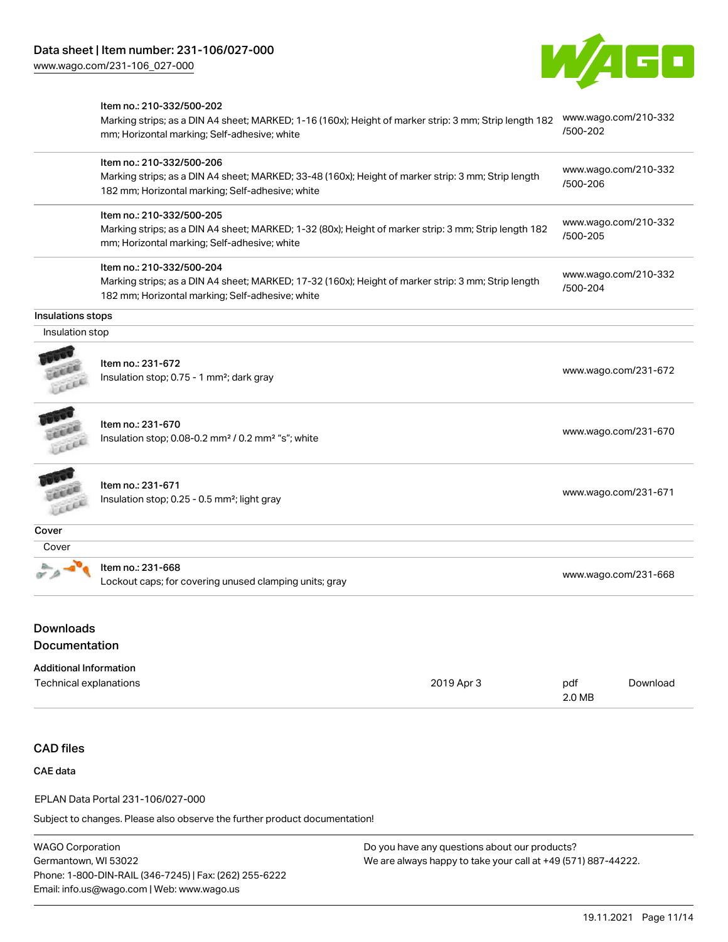

|                               | Item no.: 210-332/500-202                                                                                                                             |            |                      |                      |  |  |  |
|-------------------------------|-------------------------------------------------------------------------------------------------------------------------------------------------------|------------|----------------------|----------------------|--|--|--|
|                               | Marking strips; as a DIN A4 sheet; MARKED; 1-16 (160x); Height of marker strip: 3 mm; Strip length 182                                                |            | /500-202             | www.wago.com/210-332 |  |  |  |
|                               | mm; Horizontal marking; Self-adhesive; white                                                                                                          |            |                      |                      |  |  |  |
|                               | Item no.: 210-332/500-206                                                                                                                             |            |                      |                      |  |  |  |
|                               | Marking strips; as a DIN A4 sheet; MARKED; 33-48 (160x); Height of marker strip: 3 mm; Strip length                                                   |            |                      | www.wago.com/210-332 |  |  |  |
|                               | 182 mm; Horizontal marking; Self-adhesive; white                                                                                                      |            | /500-206             |                      |  |  |  |
|                               | Item no.: 210-332/500-205                                                                                                                             |            |                      | www.wago.com/210-332 |  |  |  |
|                               | Marking strips; as a DIN A4 sheet; MARKED; 1-32 (80x); Height of marker strip: 3 mm; Strip length 182<br>mm; Horizontal marking; Self-adhesive; white |            | /500-205             |                      |  |  |  |
|                               | Item no.: 210-332/500-204                                                                                                                             |            |                      | www.wago.com/210-332 |  |  |  |
|                               | Marking strips; as a DIN A4 sheet; MARKED; 17-32 (160x); Height of marker strip: 3 mm; Strip length                                                   |            | /500-204             |                      |  |  |  |
|                               | 182 mm; Horizontal marking; Self-adhesive; white                                                                                                      |            |                      |                      |  |  |  |
| Insulations stops             |                                                                                                                                                       |            |                      |                      |  |  |  |
| Insulation stop               |                                                                                                                                                       |            |                      |                      |  |  |  |
|                               | Item no.: 231-672                                                                                                                                     |            |                      |                      |  |  |  |
|                               | Insulation stop; 0.75 - 1 mm <sup>2</sup> ; dark gray                                                                                                 |            |                      | www.wago.com/231-672 |  |  |  |
|                               |                                                                                                                                                       |            |                      |                      |  |  |  |
|                               | Item no.: 231-670                                                                                                                                     |            |                      |                      |  |  |  |
|                               | Insulation stop; 0.08-0.2 mm <sup>2</sup> / 0.2 mm <sup>2</sup> "s"; white                                                                            |            |                      | www.wago.com/231-670 |  |  |  |
|                               |                                                                                                                                                       |            |                      |                      |  |  |  |
|                               |                                                                                                                                                       |            |                      |                      |  |  |  |
|                               | Item no.: 231-671                                                                                                                                     |            |                      | www.wago.com/231-671 |  |  |  |
|                               | Insulation stop; 0.25 - 0.5 mm <sup>2</sup> ; light gray                                                                                              |            |                      |                      |  |  |  |
| Cover                         |                                                                                                                                                       |            |                      |                      |  |  |  |
| Cover                         |                                                                                                                                                       |            |                      |                      |  |  |  |
|                               | Item no.: 231-668                                                                                                                                     |            |                      |                      |  |  |  |
|                               | Lockout caps; for covering unused clamping units; gray                                                                                                |            | www.wago.com/231-668 |                      |  |  |  |
|                               |                                                                                                                                                       |            |                      |                      |  |  |  |
| <b>Downloads</b>              |                                                                                                                                                       |            |                      |                      |  |  |  |
| Documentation                 |                                                                                                                                                       |            |                      |                      |  |  |  |
| <b>Additional Information</b> |                                                                                                                                                       |            |                      |                      |  |  |  |
| <b>Technical explanations</b> |                                                                                                                                                       | 2019 Apr 3 | pdf                  | Download             |  |  |  |
|                               |                                                                                                                                                       |            | 2.0 MB               |                      |  |  |  |
|                               |                                                                                                                                                       |            |                      |                      |  |  |  |
| <b>CAD files</b>              |                                                                                                                                                       |            |                      |                      |  |  |  |
| <b>CAE</b> data               |                                                                                                                                                       |            |                      |                      |  |  |  |
|                               | EPLAN Data Portal 231-106/027-000                                                                                                                     |            |                      |                      |  |  |  |
|                               | Subject to changes. Please also observe the further product documentation!                                                                            |            |                      |                      |  |  |  |
|                               |                                                                                                                                                       |            |                      |                      |  |  |  |

WAGO Corporation Germantown, WI 53022 Phone: 1-800-DIN-RAIL (346-7245) | Fax: (262) 255-6222 Email: info.us@wago.com | Web: www.wago.us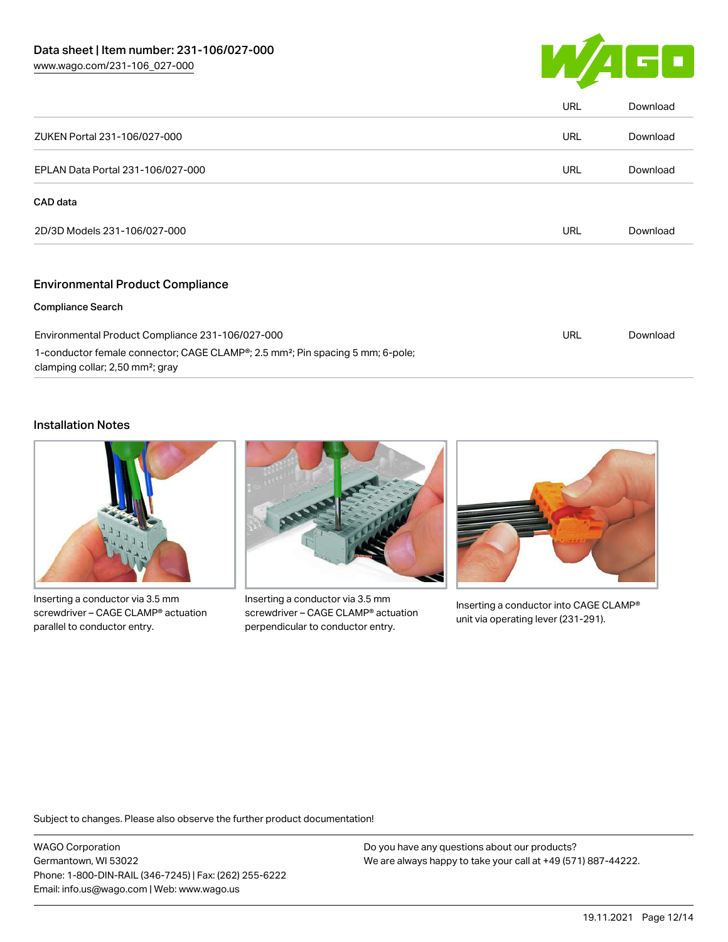

|                                            | <b>URL</b> | Download |
|--------------------------------------------|------------|----------|
| <b>URL</b><br>ZUKEN Portal 231-106/027-000 |            | Download |
| EPLAN Data Portal 231-106/027-000          | <b>URL</b> | Download |
| CAD data                                   |            |          |
| 2D/3D Models 231-106/027-000               | URL        | Download |
| <b>Environmental Product Compliance</b>    |            |          |
| <b>Compliance Search</b>                   |            |          |

| Environmental Product Compliance 231-106/027-000                                                        | URL | Download |
|---------------------------------------------------------------------------------------------------------|-----|----------|
| 1-conductor female connector; CAGE CLAMP <sup>®</sup> ; 2.5 mm <sup>2</sup> ; Pin spacing 5 mm; 6-pole; |     |          |
| clamping collar; 2,50 mm <sup>2</sup> ; gray                                                            |     |          |

## Installation Notes



Inserting a conductor via 3.5 mm screwdriver – CAGE CLAMP® actuation parallel to conductor entry.



Inserting a conductor via 3.5 mm screwdriver – CAGE CLAMP® actuation perpendicular to conductor entry.



Inserting a conductor into CAGE CLAMP® unit via operating lever (231-291).

Subject to changes. Please also observe the further product documentation!

WAGO Corporation Germantown, WI 53022 Phone: 1-800-DIN-RAIL (346-7245) | Fax: (262) 255-6222 Email: info.us@wago.com | Web: www.wago.us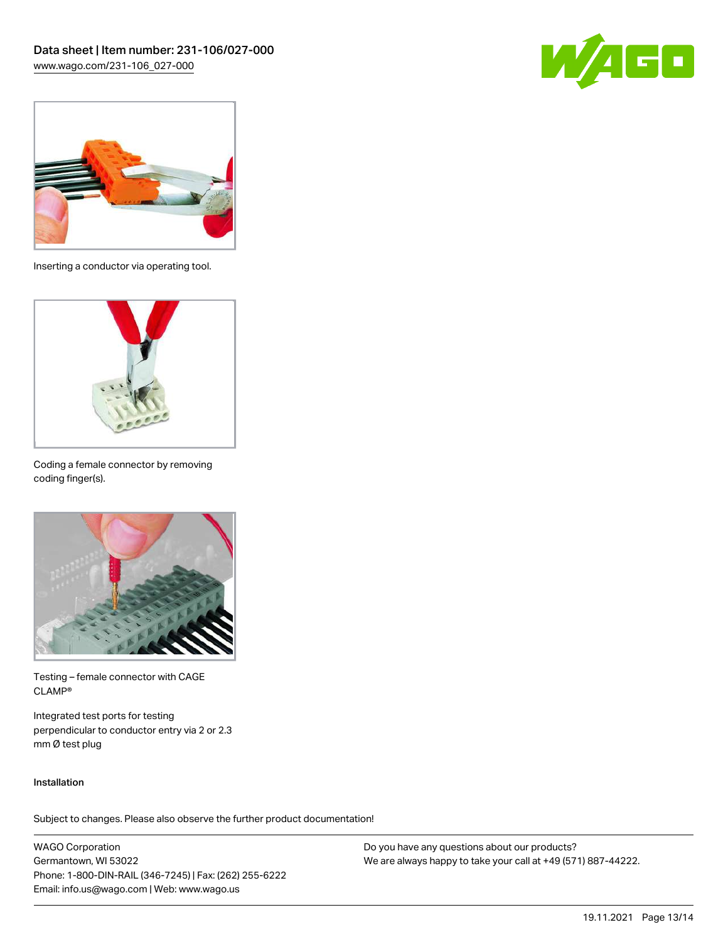



Inserting a conductor via operating tool.



Coding a female connector by removing coding finger(s).



Testing – female connector with CAGE CLAMP®

Integrated test ports for testing perpendicular to conductor entry via 2 or 2.3 mm Ø test plug

### Installation

Subject to changes. Please also observe the further product documentation!

WAGO Corporation Germantown, WI 53022 Phone: 1-800-DIN-RAIL (346-7245) | Fax: (262) 255-6222 Email: info.us@wago.com | Web: www.wago.us